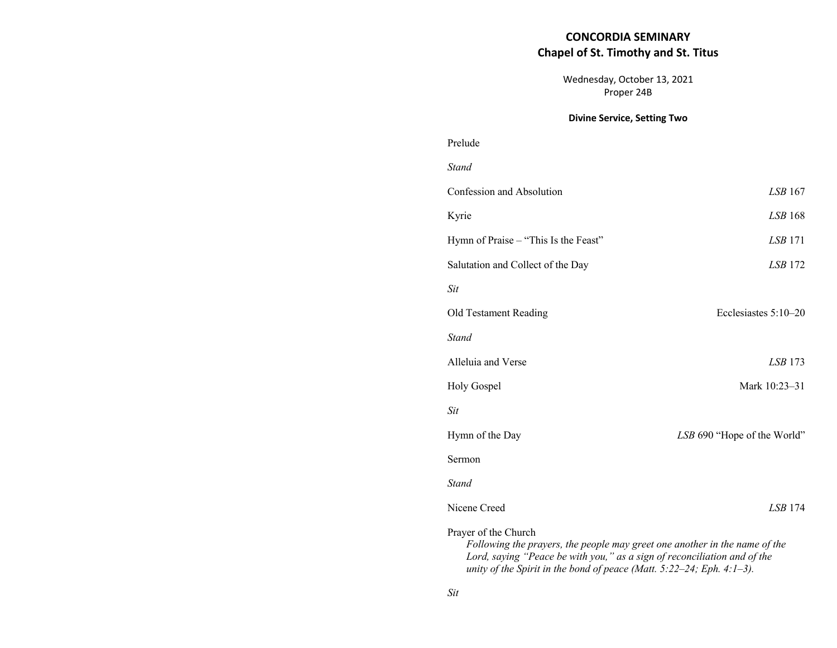## **CONCORDIA SEMINARY Chapel of St. Timothy and St. Titus**

Wednesday, October 13, 2021 Proper 24B

## **Divine Service, Setting Two**

# Prelude

| <b>Stand</b>                                                                                                                                                                   |                             |  |
|--------------------------------------------------------------------------------------------------------------------------------------------------------------------------------|-----------------------------|--|
| Confession and Absolution                                                                                                                                                      | LSB 167                     |  |
| Kyrie                                                                                                                                                                          | LSB168                      |  |
| Hymn of Praise – "This Is the Feast"                                                                                                                                           | <i>LSB</i> 171              |  |
| Salutation and Collect of the Day                                                                                                                                              | <i>LSB</i> 172              |  |
| Sit                                                                                                                                                                            |                             |  |
| Old Testament Reading                                                                                                                                                          | Ecclesiastes 5:10-20        |  |
| <b>Stand</b>                                                                                                                                                                   |                             |  |
| Alleluia and Verse                                                                                                                                                             | $LSB$ 173                   |  |
| <b>Holy Gospel</b>                                                                                                                                                             | Mark 10:23-31               |  |
| <b>Sit</b>                                                                                                                                                                     |                             |  |
| Hymn of the Day                                                                                                                                                                | LSB 690 "Hope of the World" |  |
| Sermon                                                                                                                                                                         |                             |  |
| <b>Stand</b>                                                                                                                                                                   |                             |  |
| Nicene Creed                                                                                                                                                                   | LSB 174                     |  |
| Prayer of the Church<br>Following the prayers, the people may greet one another in the name of the<br>Lord, saying "Peace be with you," as a sign of reconciliation and of the |                             |  |

*unity of the Spirit in the bond of peace (Matt. 5:22–24; Eph. 4:1–3).*